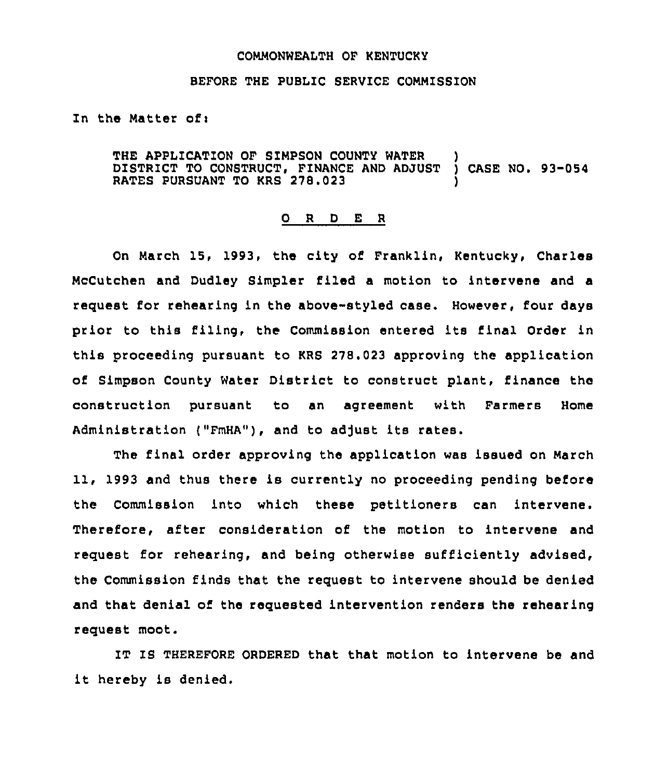## COMMONWEALTH OF KENTUCKY

## BEFORE THE PUBLIC SERVICE COMMISSION

In the Matter ofi

THE APPLICATION OF SIMPSON COUNTY WATER )<br>DISTRICT TO CONSTRUCT, FINANCE AND ADJUST ) CASE NO. 93-054 DISTRICT TO CONSTRUCT, FINANCE AND ADJUST RATES PURSUANT TO KRS 278.023

## 0 R <sup>D</sup> E <sup>R</sup>

On March 15, 1993, the city of Franklin, Kentucky, Charles McCutchen and Dudley Simpler filed a motion to intervene and a request for rehearing in the above-styled case. However, four days prior to this filing, the Commission entered its final Order in this proceeding pursuant to KRS 278.023 approving the application of Simpson County Water District to construct plant, finance the construction pursuant to an agreement with Farmers Home Administration ("FmHA"), and to adjust its rates.

The final order approving the application was issued on March 11, 1993 and thus there is currently no proceeding pending before the Commission into which these petitioners can intervene. Therefore, after consideration of the motion to intervene and request for rehearing, and being otherwise sufficiently advised, the Commission finds that the request to intervene should be denied and that denial of the requested intervention renders the rehearing request moot.

IT IS THEREFORE ORDERED that that motion to intervene be and it hereby is denied.